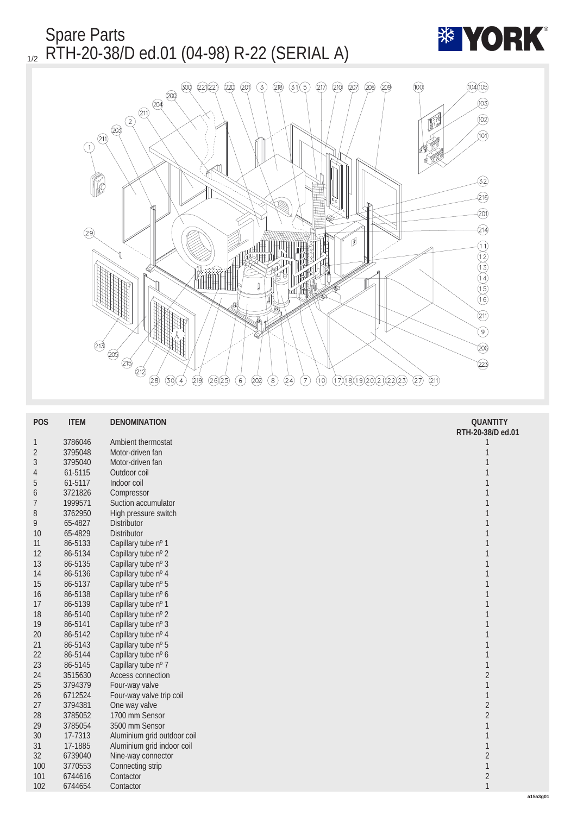

| RTH-20-38/D ed.01<br>3786046<br>Ambient thermostat<br>$\mathbf{1}$<br>1<br>$\sqrt{2}$<br>Motor-driven fan<br>$\mathbf{1}$<br>3795048<br>$\boldsymbol{3}$<br>$1\,$<br>3795040<br>Motor-driven fan<br>$\mathbf 1$<br>61-5115<br>Outdoor coil<br>$\overline{4}$<br>Indoor coil<br>$\mathbf 1$<br>$\bf 5$<br>61-5117<br>$\mathbf 1$<br>3721826<br>Compressor<br>6<br>$\mathbf{1}$<br>Suction accumulator<br>1999571<br>7<br>High pressure switch<br>$\mathbf{1}$<br>3762950<br>8<br>$\mathbf{1}$<br>65-4827<br><b>Distributor</b><br>9<br>$\mathbf{1}$<br>65-4829<br><b>Distributor</b><br>10<br>Capillary tube nº 1<br>$\mathbf{1}$<br>86-5133<br>11<br>$\mathbf{1}$<br>Capillary tube nº 2<br>12<br>86-5134<br>$1\,$<br>Capillary tube nº 3<br>13<br>86-5135<br>$\mathbf{1}$<br>Capillary tube nº 4<br>86-5136<br>14<br>$1\,$<br>Capillary tube nº 5<br>15<br>86-5137<br>$\mathbf{1}$<br>Capillary tube nº 6<br>$16\,$<br>86-5138<br>$\mathbf{1}$<br>Capillary tube nº 1<br>17<br>86-5139<br>Capillary tube nº 2<br>$\mathbf{1}$<br>18<br>86-5140<br>$\mathbf{1}$<br>Capillary tube nº 3<br>19<br>86-5141 |
|---------------------------------------------------------------------------------------------------------------------------------------------------------------------------------------------------------------------------------------------------------------------------------------------------------------------------------------------------------------------------------------------------------------------------------------------------------------------------------------------------------------------------------------------------------------------------------------------------------------------------------------------------------------------------------------------------------------------------------------------------------------------------------------------------------------------------------------------------------------------------------------------------------------------------------------------------------------------------------------------------------------------------------------------------------------------------------------------------------|
|                                                                                                                                                                                                                                                                                                                                                                                                                                                                                                                                                                                                                                                                                                                                                                                                                                                                                                                                                                                                                                                                                                         |
|                                                                                                                                                                                                                                                                                                                                                                                                                                                                                                                                                                                                                                                                                                                                                                                                                                                                                                                                                                                                                                                                                                         |
|                                                                                                                                                                                                                                                                                                                                                                                                                                                                                                                                                                                                                                                                                                                                                                                                                                                                                                                                                                                                                                                                                                         |
|                                                                                                                                                                                                                                                                                                                                                                                                                                                                                                                                                                                                                                                                                                                                                                                                                                                                                                                                                                                                                                                                                                         |
|                                                                                                                                                                                                                                                                                                                                                                                                                                                                                                                                                                                                                                                                                                                                                                                                                                                                                                                                                                                                                                                                                                         |
|                                                                                                                                                                                                                                                                                                                                                                                                                                                                                                                                                                                                                                                                                                                                                                                                                                                                                                                                                                                                                                                                                                         |
|                                                                                                                                                                                                                                                                                                                                                                                                                                                                                                                                                                                                                                                                                                                                                                                                                                                                                                                                                                                                                                                                                                         |
|                                                                                                                                                                                                                                                                                                                                                                                                                                                                                                                                                                                                                                                                                                                                                                                                                                                                                                                                                                                                                                                                                                         |
|                                                                                                                                                                                                                                                                                                                                                                                                                                                                                                                                                                                                                                                                                                                                                                                                                                                                                                                                                                                                                                                                                                         |
|                                                                                                                                                                                                                                                                                                                                                                                                                                                                                                                                                                                                                                                                                                                                                                                                                                                                                                                                                                                                                                                                                                         |
|                                                                                                                                                                                                                                                                                                                                                                                                                                                                                                                                                                                                                                                                                                                                                                                                                                                                                                                                                                                                                                                                                                         |
|                                                                                                                                                                                                                                                                                                                                                                                                                                                                                                                                                                                                                                                                                                                                                                                                                                                                                                                                                                                                                                                                                                         |
|                                                                                                                                                                                                                                                                                                                                                                                                                                                                                                                                                                                                                                                                                                                                                                                                                                                                                                                                                                                                                                                                                                         |
|                                                                                                                                                                                                                                                                                                                                                                                                                                                                                                                                                                                                                                                                                                                                                                                                                                                                                                                                                                                                                                                                                                         |
|                                                                                                                                                                                                                                                                                                                                                                                                                                                                                                                                                                                                                                                                                                                                                                                                                                                                                                                                                                                                                                                                                                         |
|                                                                                                                                                                                                                                                                                                                                                                                                                                                                                                                                                                                                                                                                                                                                                                                                                                                                                                                                                                                                                                                                                                         |
|                                                                                                                                                                                                                                                                                                                                                                                                                                                                                                                                                                                                                                                                                                                                                                                                                                                                                                                                                                                                                                                                                                         |
|                                                                                                                                                                                                                                                                                                                                                                                                                                                                                                                                                                                                                                                                                                                                                                                                                                                                                                                                                                                                                                                                                                         |
|                                                                                                                                                                                                                                                                                                                                                                                                                                                                                                                                                                                                                                                                                                                                                                                                                                                                                                                                                                                                                                                                                                         |
| Capillary tube nº 4<br>$\mathbf{1}$<br>$20\,$<br>86-5142                                                                                                                                                                                                                                                                                                                                                                                                                                                                                                                                                                                                                                                                                                                                                                                                                                                                                                                                                                                                                                                |
| Capillary tube nº 5<br>$\mathbf 1$<br>21<br>86-5143                                                                                                                                                                                                                                                                                                                                                                                                                                                                                                                                                                                                                                                                                                                                                                                                                                                                                                                                                                                                                                                     |
| $\mathbf 1$<br>Capillary tube nº 6<br>22<br>86-5144                                                                                                                                                                                                                                                                                                                                                                                                                                                                                                                                                                                                                                                                                                                                                                                                                                                                                                                                                                                                                                                     |
| $\mathbf{1}$<br>23<br>86-5145<br>Capillary tube nº 7                                                                                                                                                                                                                                                                                                                                                                                                                                                                                                                                                                                                                                                                                                                                                                                                                                                                                                                                                                                                                                                    |
| $\sqrt{2}$<br>Access connection<br>24<br>3515630                                                                                                                                                                                                                                                                                                                                                                                                                                                                                                                                                                                                                                                                                                                                                                                                                                                                                                                                                                                                                                                        |
| $\mathbf{1}$<br>25<br>3794379<br>Four-way valve                                                                                                                                                                                                                                                                                                                                                                                                                                                                                                                                                                                                                                                                                                                                                                                                                                                                                                                                                                                                                                                         |
| $\mathbf{1}$<br>6712524<br>Four-way valve trip coil<br>26                                                                                                                                                                                                                                                                                                                                                                                                                                                                                                                                                                                                                                                                                                                                                                                                                                                                                                                                                                                                                                               |
| $\sqrt{2}$<br>3794381<br>One way valve<br>27                                                                                                                                                                                                                                                                                                                                                                                                                                                                                                                                                                                                                                                                                                                                                                                                                                                                                                                                                                                                                                                            |
| 1700 mm Sensor<br>$\sqrt{2}$<br>3785052<br>28                                                                                                                                                                                                                                                                                                                                                                                                                                                                                                                                                                                                                                                                                                                                                                                                                                                                                                                                                                                                                                                           |
| $\mathbf 1$<br>3785054<br>3500 mm Sensor<br>29                                                                                                                                                                                                                                                                                                                                                                                                                                                                                                                                                                                                                                                                                                                                                                                                                                                                                                                                                                                                                                                          |
| $\mathbf 1$<br>17-7313<br>Aluminium grid outdoor coil<br>30                                                                                                                                                                                                                                                                                                                                                                                                                                                                                                                                                                                                                                                                                                                                                                                                                                                                                                                                                                                                                                             |
| $\mathbf{1}$<br>17-1885<br>Aluminium grid indoor coil<br>31                                                                                                                                                                                                                                                                                                                                                                                                                                                                                                                                                                                                                                                                                                                                                                                                                                                                                                                                                                                                                                             |
| $\sqrt{2}$<br>32<br>6739040<br>Nine-way connector                                                                                                                                                                                                                                                                                                                                                                                                                                                                                                                                                                                                                                                                                                                                                                                                                                                                                                                                                                                                                                                       |
| $\mathbf{1}$<br>3770553<br>100<br>Connecting strip                                                                                                                                                                                                                                                                                                                                                                                                                                                                                                                                                                                                                                                                                                                                                                                                                                                                                                                                                                                                                                                      |
| $\sqrt{2}$<br>101<br>6744616<br>Contactor                                                                                                                                                                                                                                                                                                                                                                                                                                                                                                                                                                                                                                                                                                                                                                                                                                                                                                                                                                                                                                                               |
| $\mathbf{1}$<br>102<br>6744654<br>Contactor<br>a1                                                                                                                                                                                                                                                                                                                                                                                                                                                                                                                                                                                                                                                                                                                                                                                                                                                                                                                                                                                                                                                       |